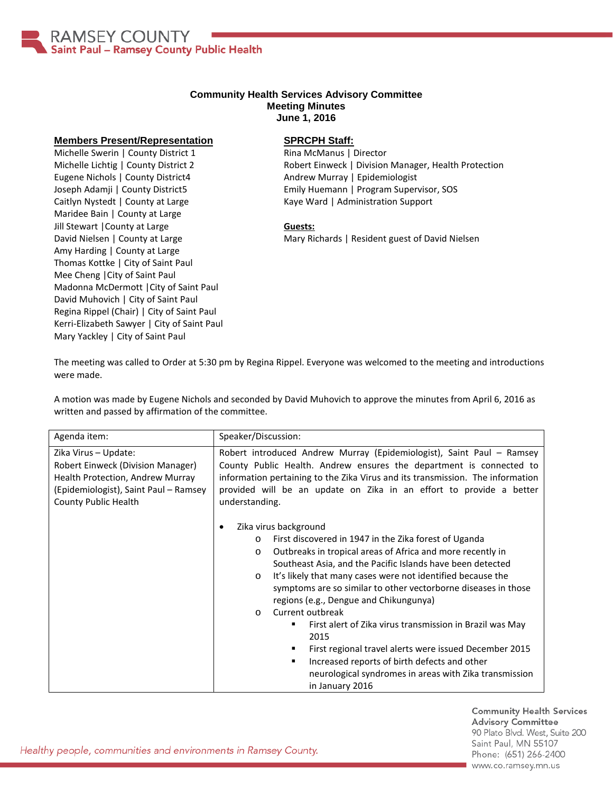

## **Community Health Services Advisory Committee Meeting Minutes June 1, 2016**

## **Members Present/Representation**

Michelle Swerin | County District 1 Michelle Lichtig | County District 2 Eugene Nichols | County District4 Joseph Adamji | County District5 Caitlyn Nystedt | County at Large Maridee Bain | County at Large Jill Stewart |County at Large David Nielsen | County at Large Amy Harding | County at Large Thomas Kottke | City of Saint Paul Mee Cheng |City of Saint Paul Madonna McDermott |City of Saint Paul David Muhovich | City of Saint Paul Regina Rippel (Chair) | City of Saint Paul Kerri-Elizabeth Sawyer | City of Saint Paul Mary Yackley | City of Saint Paul

## **SPRCPH Staff:**

Rina McManus | Director Robert Einweck | Division Manager, Health Protection Andrew Murray | Epidemiologist Emily Huemann | Program Supervisor, SOS Kaye Ward | Administration Support

## **Guests:**

Mary Richards | Resident guest of David Nielsen

The meeting was called to Order at 5:30 pm by Regina Rippel. Everyone was welcomed to the meeting and introductions were made.

A motion was made by Eugene Nichols and seconded by David Muhovich to approve the minutes from April 6, 2016 as written and passed by affirmation of the committee.

| Agenda item:                                                                                                                                                   | Speaker/Discussion:                                                                                                                                                                                                                                                                                                                                                                                                                                                                                                                                                                                                                                                                                                        |
|----------------------------------------------------------------------------------------------------------------------------------------------------------------|----------------------------------------------------------------------------------------------------------------------------------------------------------------------------------------------------------------------------------------------------------------------------------------------------------------------------------------------------------------------------------------------------------------------------------------------------------------------------------------------------------------------------------------------------------------------------------------------------------------------------------------------------------------------------------------------------------------------------|
| Zika Virus - Update:<br>Robert Einweck (Division Manager)<br>Health Protection, Andrew Murray<br>(Epidemiologist), Saint Paul - Ramsey<br>County Public Health | Robert introduced Andrew Murray (Epidemiologist), Saint Paul - Ramsey<br>County Public Health. Andrew ensures the department is connected to<br>information pertaining to the Zika Virus and its transmission. The information<br>provided will be an update on Zika in an effort to provide a better<br>understanding.                                                                                                                                                                                                                                                                                                                                                                                                    |
|                                                                                                                                                                | Zika virus background<br>First discovered in 1947 in the Zika forest of Uganda<br>$\circ$<br>Outbreaks in tropical areas of Africa and more recently in<br>$\circ$<br>Southeast Asia, and the Pacific Islands have been detected<br>It's likely that many cases were not identified because the<br>$\circ$<br>symptoms are so similar to other vectorborne diseases in those<br>regions (e.g., Dengue and Chikungunya)<br>Current outbreak<br>$\circ$<br>First alert of Zika virus transmission in Brazil was May<br>2015<br>First regional travel alerts were issued December 2015<br>٠<br>Increased reports of birth defects and other<br>٠<br>neurological syndromes in areas with Zika transmission<br>in January 2016 |

**Community Health Services Advisory Committee** 90 Plato Blvd. West, Suite 200 Saint Paul, MN 55107 Phone: (651) 266-2400 www.co.ramsey.mn.us

Healthy people, communities and environments in Ramsey County.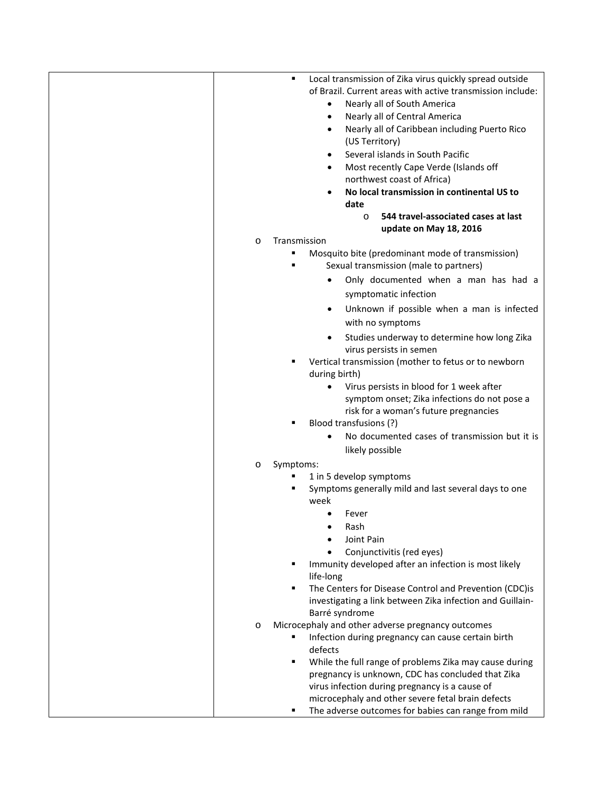| Local transmission of Zika virus quickly spread outside<br>٠ |
|--------------------------------------------------------------|
| of Brazil. Current areas with active transmission include:   |
| Nearly all of South America<br>$\bullet$                     |
| Nearly all of Central America<br>$\bullet$                   |
| Nearly all of Caribbean including Puerto Rico<br>$\bullet$   |
| (US Territory)                                               |
|                                                              |
| Several islands in South Pacific                             |
| Most recently Cape Verde (Islands off                        |
| northwest coast of Africa)                                   |
| No local transmission in continental US to<br>$\bullet$      |
| date                                                         |
| 544 travel-associated cases at last<br>$\circ$               |
| update on May 18, 2016                                       |
| Transmission<br>$\circ$                                      |
| Mosquito bite (predominant mode of transmission)             |
| Sexual transmission (male to partners)                       |
| Only documented when a man has had a                         |
| symptomatic infection                                        |
| Unknown if possible when a man is infected                   |
|                                                              |
| with no symptoms                                             |
| Studies underway to determine how long Zika                  |
| virus persists in semen                                      |
| Vertical transmission (mother to fetus or to newborn         |
| during birth)                                                |
| Virus persists in blood for 1 week after                     |
| symptom onset; Zika infections do not pose a                 |
| risk for a woman's future pregnancies                        |
| Blood transfusions (?)                                       |
| No documented cases of transmission but it is                |
| likely possible                                              |
| Symptoms:<br>$\circ$                                         |
| 1 in 5 develop symptoms                                      |
| Symptoms generally mild and last several days to one         |
| week                                                         |
| Fever<br>$\bullet$                                           |
| Rash                                                         |
| Joint Pain                                                   |
| Conjunctivitis (red eyes)                                    |
| Immunity developed after an infection is most likely         |
| life-long                                                    |
| The Centers for Disease Control and Prevention (CDC)is       |
|                                                              |
| investigating a link between Zika infection and Guillain-    |
| Barré syndrome                                               |
| Microcephaly and other adverse pregnancy outcomes<br>$\circ$ |
| Infection during pregnancy can cause certain birth           |
| defects                                                      |
| While the full range of problems Zika may cause during       |
| pregnancy is unknown, CDC has concluded that Zika            |
| virus infection during pregnancy is a cause of               |
| microcephaly and other severe fetal brain defects            |
| The adverse outcomes for babies can range from mild          |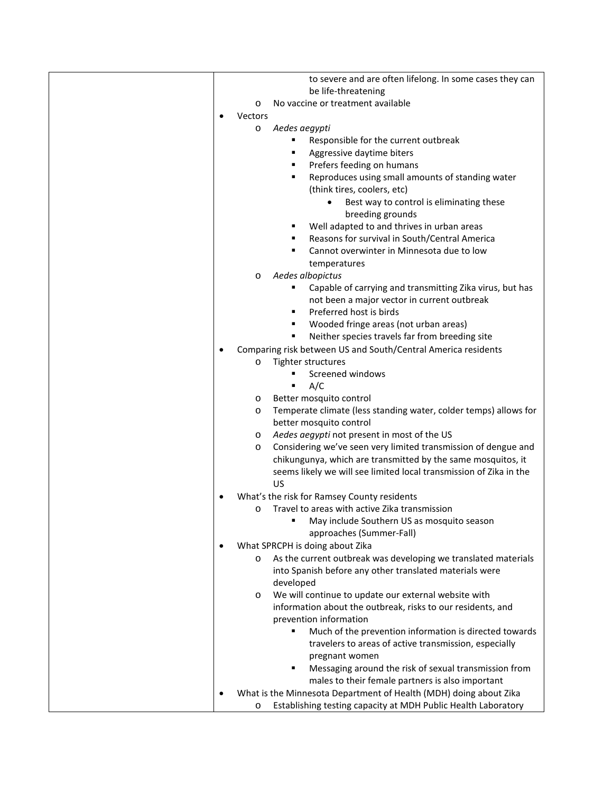| to severe and are often lifelong. In some cases they can                  |
|---------------------------------------------------------------------------|
| be life-threatening                                                       |
| No vaccine or treatment available<br>$\circ$                              |
| Vectors                                                                   |
| Aedes aegypti<br>O                                                        |
| Responsible for the current outbreak                                      |
| Aggressive daytime biters                                                 |
| Prefers feeding on humans                                                 |
| Reproduces using small amounts of standing water<br>٠                     |
| (think tires, coolers, etc)                                               |
| Best way to control is eliminating these                                  |
| breeding grounds                                                          |
| Well adapted to and thrives in urban areas<br>٠                           |
| Reasons for survival in South/Central America                             |
| Cannot overwinter in Minnesota due to low<br>٠                            |
| temperatures                                                              |
| Aedes albopictus<br>O                                                     |
| Capable of carrying and transmitting Zika virus, but has                  |
| not been a major vector in current outbreak                               |
| Preferred host is birds                                                   |
| Wooded fringe areas (not urban areas)                                     |
| Neither species travels far from breeding site                            |
| Comparing risk between US and South/Central America residents             |
| Tighter structures<br>$\circ$                                             |
| Screened windows                                                          |
| A/C<br>٠                                                                  |
| Better mosquito control<br>O                                              |
| Temperate climate (less standing water, colder temps) allows for<br>O     |
| better mosquito control                                                   |
| Aedes aegypti not present in most of the US<br>O                          |
| Considering we've seen very limited transmission of dengue and<br>O       |
| chikungunya, which are transmitted by the same mosquitos, it              |
| seems likely we will see limited local transmission of Zika in the        |
| US                                                                        |
| What's the risk for Ramsey County residents                               |
| Travel to areas with active Zika transmission<br>O                        |
| May include Southern US as mosquito season                                |
| approaches (Summer-Fall)                                                  |
| What SPRCPH is doing about Zika                                           |
| As the current outbreak was developing we translated materials<br>$\circ$ |
| into Spanish before any other translated materials were                   |
| developed                                                                 |
| We will continue to update our external website with<br>O                 |
| information about the outbreak, risks to our residents, and               |
| prevention information                                                    |
| Much of the prevention information is directed towards                    |
| travelers to areas of active transmission, especially                     |
| pregnant women                                                            |
| Messaging around the risk of sexual transmission from<br>٠                |
| males to their female partners is also important                          |
| What is the Minnesota Department of Health (MDH) doing about Zika         |
| Establishing testing capacity at MDH Public Health Laboratory<br>O        |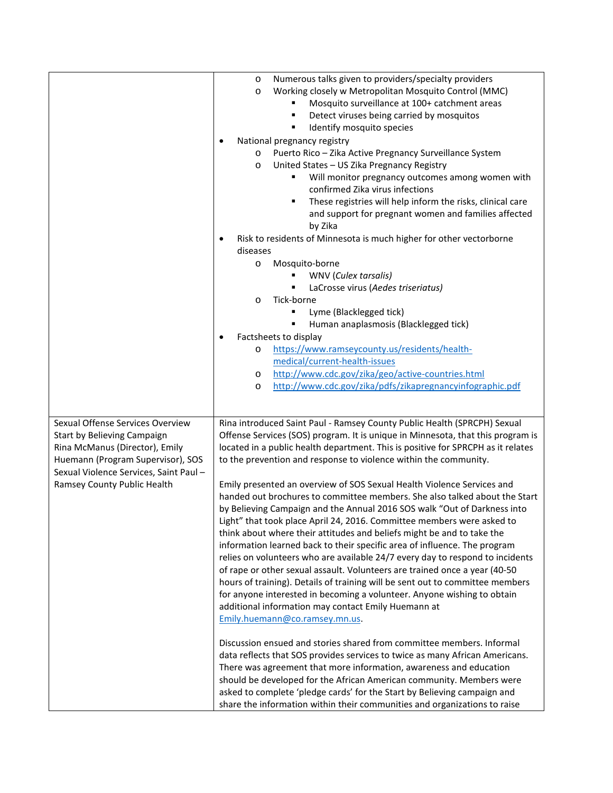|                                                                                                                                                                                                                | Numerous talks given to providers/specialty providers<br>$\circ$<br>Working closely w Metropolitan Mosquito Control (MMC)<br>$\circ$<br>Mosquito surveillance at 100+ catchment areas<br>Detect viruses being carried by mosquitos<br>Identify mosquito species<br>National pregnancy registry<br>$\bullet$<br>Puerto Rico - Zika Active Pregnancy Surveillance System<br>$\circ$<br>United States - US Zika Pregnancy Registry<br>O<br>Will monitor pregnancy outcomes among women with<br>confirmed Zika virus infections<br>These registries will help inform the risks, clinical care<br>٠<br>and support for pregnant women and families affected<br>by Zika<br>Risk to residents of Minnesota is much higher for other vectorborne<br>diseases<br>Mosquito-borne<br>$\circ$<br>WNV (Culex tarsalis)<br>LaCrosse virus (Aedes triseriatus)<br>Tick-borne<br>$\circ$<br>Lyme (Blacklegged tick)<br>Human anaplasmosis (Blacklegged tick)                                                                                                                                                                                                                                                                                                                                                                                                                                                                                                                                                                                                                                                                                                                                 |
|----------------------------------------------------------------------------------------------------------------------------------------------------------------------------------------------------------------|------------------------------------------------------------------------------------------------------------------------------------------------------------------------------------------------------------------------------------------------------------------------------------------------------------------------------------------------------------------------------------------------------------------------------------------------------------------------------------------------------------------------------------------------------------------------------------------------------------------------------------------------------------------------------------------------------------------------------------------------------------------------------------------------------------------------------------------------------------------------------------------------------------------------------------------------------------------------------------------------------------------------------------------------------------------------------------------------------------------------------------------------------------------------------------------------------------------------------------------------------------------------------------------------------------------------------------------------------------------------------------------------------------------------------------------------------------------------------------------------------------------------------------------------------------------------------------------------------------------------------------------------------------------------------|
|                                                                                                                                                                                                                | Factsheets to display<br>https://www.ramseycounty.us/residents/health-<br>O<br>medical/current-health-issues<br>http://www.cdc.gov/zika/geo/active-countries.html<br>O<br>http://www.cdc.gov/zika/pdfs/zikapregnancyinfographic.pdf<br>O                                                                                                                                                                                                                                                                                                                                                                                                                                                                                                                                                                                                                                                                                                                                                                                                                                                                                                                                                                                                                                                                                                                                                                                                                                                                                                                                                                                                                                     |
| Sexual Offense Services Overview<br>Start by Believing Campaign<br>Rina McManus (Director), Emily<br>Huemann (Program Supervisor), SOS<br>Sexual Violence Services, Saint Paul-<br>Ramsey County Public Health | Rina introduced Saint Paul - Ramsey County Public Health (SPRCPH) Sexual<br>Offense Services (SOS) program. It is unique in Minnesota, that this program is<br>located in a public health department. This is positive for SPRCPH as it relates<br>to the prevention and response to violence within the community.<br>Emily presented an overview of SOS Sexual Health Violence Services and<br>handed out brochures to committee members. She also talked about the Start<br>by Believing Campaign and the Annual 2016 SOS walk "Out of Darkness into<br>Light" that took place April 24, 2016. Committee members were asked to<br>think about where their attitudes and beliefs might be and to take the<br>information learned back to their specific area of influence. The program<br>relies on volunteers who are available 24/7 every day to respond to incidents<br>of rape or other sexual assault. Volunteers are trained once a year (40-50<br>hours of training). Details of training will be sent out to committee members<br>for anyone interested in becoming a volunteer. Anyone wishing to obtain<br>additional information may contact Emily Huemann at<br>Emily.huemann@co.ramsey.mn.us.<br>Discussion ensued and stories shared from committee members. Informal<br>data reflects that SOS provides services to twice as many African Americans.<br>There was agreement that more information, awareness and education<br>should be developed for the African American community. Members were<br>asked to complete 'pledge cards' for the Start by Believing campaign and<br>share the information within their communities and organizations to raise |